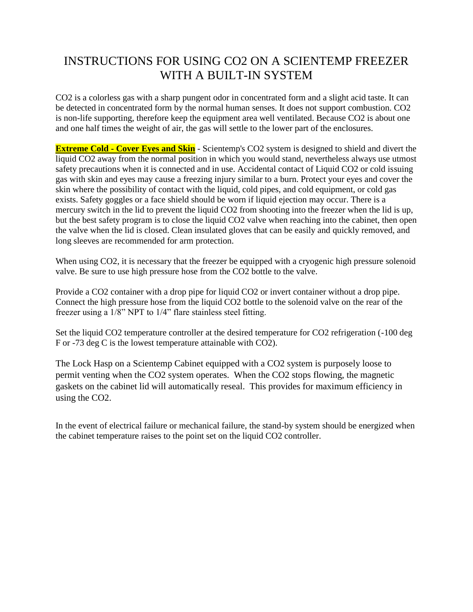## INSTRUCTIONS FOR USING CO2 ON A SCIENTEMP FREEZER WITH A BUILT-IN SYSTEM

CO2 is a colorless gas with a sharp pungent odor in concentrated form and a slight acid taste. It can be detected in concentrated form by the normal human senses. It does not support combustion. CO2 is non-life supporting, therefore keep the equipment area well ventilated. Because CO2 is about one and one half times the weight of air, the gas will settle to the lower part of the enclosures.

**Extreme Cold - Cover Eyes and Skin** - Scientemp's CO2 system is designed to shield and divert the liquid CO2 away from the normal position in which you would stand, nevertheless always use utmost safety precautions when it is connected and in use. Accidental contact of Liquid CO2 or cold issuing gas with skin and eyes may cause a freezing injury similar to a burn. Protect your eyes and cover the skin where the possibility of contact with the liquid, cold pipes, and cold equipment, or cold gas exists. Safety goggles or a face shield should be worn if liquid ejection may occur. There is a mercury switch in the lid to prevent the liquid CO2 from shooting into the freezer when the lid is up, but the best safety program is to close the liquid CO2 valve when reaching into the cabinet, then open the valve when the lid is closed. Clean insulated gloves that can be easily and quickly removed, and long sleeves are recommended for arm protection.

When using CO2, it is necessary that the freezer be equipped with a cryogenic high pressure solenoid valve. Be sure to use high pressure hose from the CO2 bottle to the valve.

Provide a CO2 container with a drop pipe for liquid CO2 or invert container without a drop pipe. Connect the high pressure hose from the liquid CO2 bottle to the solenoid valve on the rear of the freezer using a 1/8" NPT to 1/4" flare stainless steel fitting.

Set the liquid CO2 temperature controller at the desired temperature for CO2 refrigeration (-100 deg F or -73 deg C is the lowest temperature attainable with CO2).

The Lock Hasp on a Scientemp Cabinet equipped with a CO2 system is purposely loose to permit venting when the CO2 system operates. When the CO2 stops flowing, the magnetic gaskets on the cabinet lid will automatically reseal. This provides for maximum efficiency in using the CO2.

In the event of electrical failure or mechanical failure, the stand-by system should be energized when the cabinet temperature raises to the point set on the liquid CO2 controller.